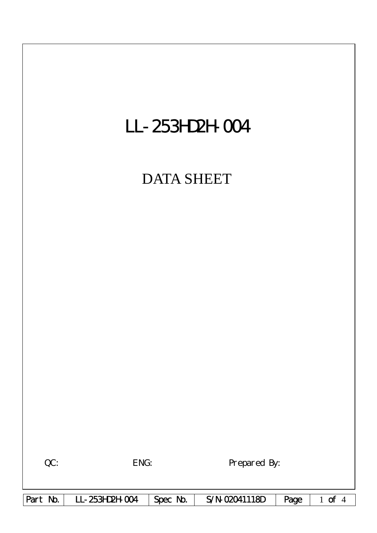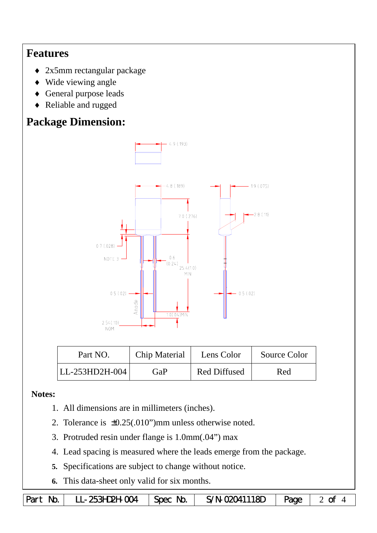## **Features**

- ♦ 2x5mm rectangular package
- ♦ Wide viewing angle
- General purpose leads
- ♦ Reliable and rugged

# **Package Dimension:**



| Part NO.       | <b>Chip Material</b> | Lens Color          | Source Color |
|----------------|----------------------|---------------------|--------------|
| LL-253HD2H-004 | GaP                  | <b>Red Diffused</b> | Red          |

#### **Notes:**

- 1. All dimensions are in millimeters (inches).
- 2. Tolerance is ±0.25(.010")mm unless otherwise noted.
- 3. Protruded resin under flange is 1.0mm(.04") max
- 4. Lead spacing is measured where the leads emerge from the package.
- **5.** Specifications are subject to change without notice.
- **6.** This data-sheet only valid for six months.

```
Part No. | LL-253HD2H-004 | Spec No. | S/N-02041118D | Page | 2 of 4
```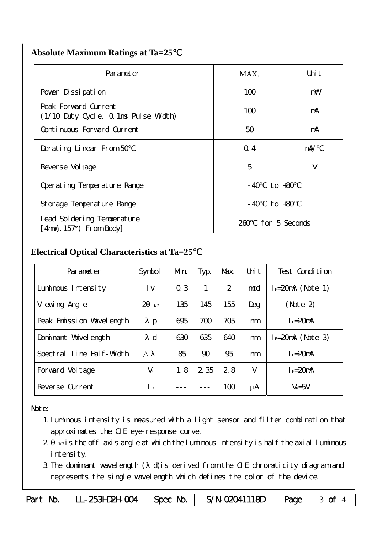| <b>Absolute Maximum Ratings at Ta=25</b> |  |
|------------------------------------------|--|
|                                          |  |

| Parameter                                                    | MAX.                  | Uni t      |  |
|--------------------------------------------------------------|-----------------------|------------|--|
| Pover Dissipation                                            | 100                   | mW         |  |
| Peak Forward Current<br>(1/10 Duty Cycle, 0.1ms Pulse Width) | 100                   | mA         |  |
| Continuous Forward Current                                   | 50                    | mA         |  |
| Derating Linear From 50                                      | Q.4                   | $m\lambda$ |  |
| Reverse Vol tage                                             | 5                     | V          |  |
| Operating Temperature Range                                  | to $+80$<br>- 40      |            |  |
| Storage Temperature Range                                    | $-40$ to $+80$        |            |  |
| Lead Sol dering Temperature<br>4nm(. 157") From Body         | for 5 Seconds<br>260. |            |  |

### **Electrical Optical Characteristics at Ta=25**℃

| Parameter                   | Symbol       | Mn. | Typ.  | Max. | Uni t | Test Condition       |
|-----------------------------|--------------|-----|-------|------|-------|----------------------|
| Luminous Intensity          | l v          | 0.3 | 1     | 2    | mcd   | $I = 20$ mA (Note 1) |
| Vi ewing Angl e             | 2<br>1/2     | 135 | 145   | 155  | Deg   | (Note 2)             |
| Peak Emission Vavelength    | $\mathbf{p}$ | 695 | 700   | 705  | nm    | $I_F = 20$ mA        |
| Dominant Wavelength         | d            | 630 | 635   | 640  | nm    | $I = 20mA$ (Note 3)  |
| Line Half-Width<br>Spectral |              | 85  | 90    | 95   | nm    | $I_F = 20$ mA        |
| Forward Voltage             | $V_F$        | 1.8 | 2 3 5 | 28   | V     | $I = 20mA$           |
| Reverse Current             | $\mathsf{R}$ |     |       | 100  | μA    | $V_R = 5V$           |

#### Note:

- 1.Luminous intensity is measured with a light sensor and filter combination that approximates the CIE eye-response curve.
- $2 1/2$  is the off-axis angle at which the luminous intensity is half the axial luminous i ntensity.
- 3.The dominant wavelength ( d)is derived from the CIE chromaticity diagram and represents the single wavelength which defines the color of the device.

Part No. | LL-253HD2H-004 | Spec No. | S/N-02041118D | Page | 3 of 4